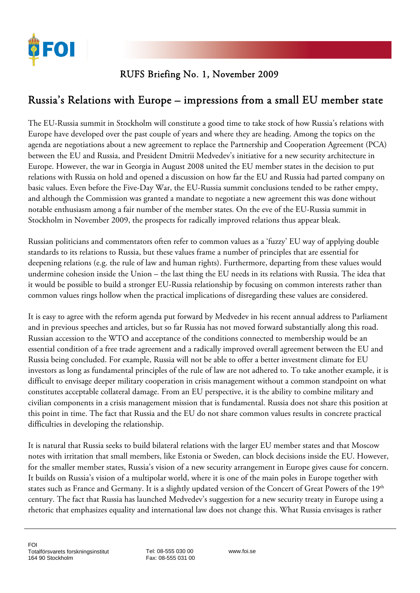

## RUFS Briefing No. 1, November 2009

## Russia's Relations with Europe – impressions from a small EU member state

The EU-Russia summit in Stockholm will constitute a good time to take stock of how Russia's relations with Europe have developed over the past couple of years and where they are heading. Among the topics on the agenda are negotiations about a new agreement to replace the Partnership and Cooperation Agreement (PCA) between the EU and Russia, and President Dmitrii Medvedev's initiative for a new security architecture in Europe. However, the war in Georgia in August 2008 united the EU member states in the decision to put relations with Russia on hold and opened a discussion on how far the EU and Russia had parted company on basic values. Even before the Five-Day War, the EU-Russia summit conclusions tended to be rather empty, and although the Commission was granted a mandate to negotiate a new agreement this was done without notable enthusiasm among a fair number of the member states. On the eve of the EU-Russia summit in Stockholm in November 2009, the prospects for radically improved relations thus appear bleak.

Russian politicians and commentators often refer to common values as a 'fuzzy' EU way of applying double standards to its relations to Russia, but these values frame a number of principles that are essential for deepening relations (e.g. the rule of law and human rights). Furthermore, departing from these values would undermine cohesion inside the Union – the last thing the EU needs in its relations with Russia. The idea that it would be possible to build a stronger EU-Russia relationship by focusing on common interests rather than common values rings hollow when the practical implications of disregarding these values are considered.

It is easy to agree with the reform agenda put forward by Medvedev in his recent annual address to Parliament and in previous speeches and articles, but so far Russia has not moved forward substantially along this road. Russian accession to the WTO and acceptance of the conditions connected to membership would be an essential condition of a free trade agreement and a radically improved overall agreement between the EU and Russia being concluded. For example, Russia will not be able to offer a better investment climate for EU investors as long as fundamental principles of the rule of law are not adhered to. To take another example, it is difficult to envisage deeper military cooperation in crisis management without a common standpoint on what constitutes acceptable collateral damage. From an EU perspective, it is the ability to combine military and civilian components in a crisis management mission that is fundamental. Russia does not share this position at this point in time. The fact that Russia and the EU do not share common values results in concrete practical difficulties in developing the relationship.

It is natural that Russia seeks to build bilateral relations with the larger EU member states and that Moscow notes with irritation that small members, like Estonia or Sweden, can block decisions inside the EU. However, for the smaller member states, Russia's vision of a new security arrangement in Europe gives cause for concern. It builds on Russia's vision of a multipolar world, where it is one of the main poles in Europe together with states such as France and Germany. It is a slightly updated version of the Concert of Great Powers of the 19th century. The fact that Russia has launched Medvedev's suggestion for a new security treaty in Europe using a rhetoric that emphasizes equality and international law does not change this. What Russia envisages is rather

Tel: 08-555 030 00 Fax: 08-555 031 00 www.foi.se